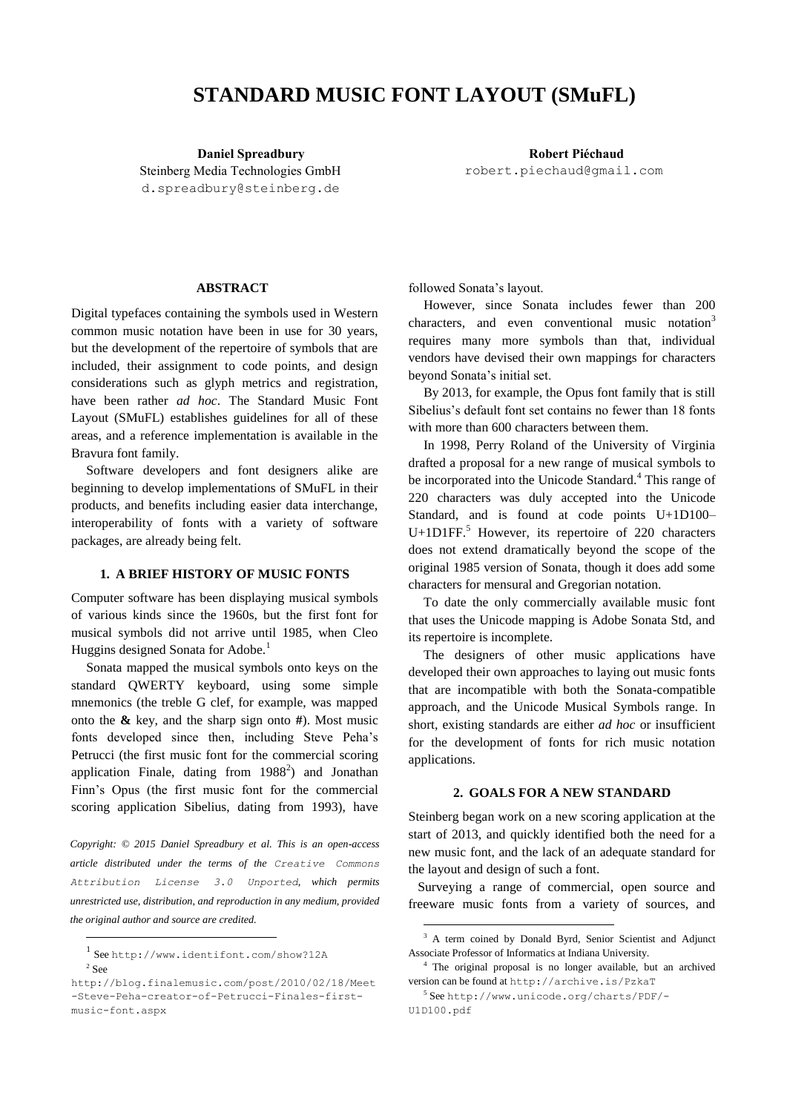# **STANDARD MUSIC FONT LAYOUT (SMuFL)**

Steinberg Media Technologies GmbH [d.spreadbury@steinberg.de](mailto:d.spreadbury@steinberg.de)

**Daniel Spreadbury Robert Piéchaud** [robert.piechaud@gmail.com](mailto:d.spreadbury@steinberg.de)

#### **ABSTRACT**

Digital typefaces containing the symbols used in Western common music notation have been in use for 30 years, but the development of the repertoire of symbols that are included, their assignment to code points, and design considerations such as glyph metrics and registration, have been rather *ad hoc*. The Standard Music Font Layout (SMuFL) establishes guidelines for all of these areas, and a reference implementation is available in the Bravura font family.

Software developers and font designers alike are beginning to develop implementations of SMuFL in their products, and benefits including easier data interchange, interoperability of fonts with a variety of software packages, are already being felt.

## **1. A BRIEF HISTORY OF MUSIC FONTS**

Computer software has been displaying musical symbols of various kinds since the 1960s, but the first font for musical symbols did not arrive until 1985, when Cleo Huggins designed Sonata for Adobe.<sup>1</sup>

Sonata mapped the musical symbols onto keys on the standard QWERTY keyboard, using some simple mnemonics (the treble G clef, for example, was mapped onto the **&** key, and the sharp sign onto **#**). Most music fonts developed since then, including Steve Peha's Petrucci (the first music font for the commercial scoring application Finale, dating from  $1988<sup>2</sup>$  and Jonathan Finn's Opus (the first music font for the commercial scoring application Sibelius, dating from 1993), have

*Copyright: © 2015 Daniel Spreadbury et al. This is an open-access article distributed under the terms of the [Creative Commons](http://creativecommons.org/licenses/by/3.0/)  [Attribution License 3.0 Unported](http://creativecommons.org/licenses/by/3.0/), which permits unrestricted use, distribution, and reproduction in any medium, provided the original author and source are credited.*

 $\overline{a}$ 

followed Sonata's layout.

However, since Sonata includes fewer than 200 characters, and even conventional music notation<sup>3</sup> requires many more symbols than that, individual vendors have devised their own mappings for characters beyond Sonata's initial set.

By 2013, for example, the Opus font family that is still Sibelius's default font set contains no fewer than 18 fonts with more than 600 characters between them.

In 1998, Perry Roland of the University of Virginia drafted a proposal for a new range of musical symbols to be incorporated into the Unicode Standard.<sup>4</sup> This range of 220 characters was duly accepted into the Unicode Standard, and is found at code points U+1D100– U+1D1FF.<sup>5</sup> However, its repertoire of 220 characters does not extend dramatically beyond the scope of the original 1985 version of Sonata, though it does add some characters for mensural and Gregorian notation.

To date the only commercially available music font that uses the Unicode mapping is Adobe Sonata Std, and its repertoire is incomplete.

The designers of other music applications have developed their own approaches to laying out music fonts that are incompatible with both the Sonata-compatible approach, and the Unicode Musical Symbols range. In short, existing standards are either *ad hoc* or insufficient for the development of fonts for rich music notation applications.

#### **2. GOALS FOR A NEW STANDARD**

Steinberg began work on a new scoring application at the start of 2013, and quickly identified both the need for a new music font, and the lack of an adequate standard for the layout and design of such a font.

Surveying a range of commercial, open source and freeware music fonts from a variety of sources, and

-

<sup>1</sup> See <http://www.identifont.com/show?12A> 2 See

[http://blog.finalemusic.com/post/2010/02/18/Meet](http://blog.finalemusic.com/post/2010/02/18/Meet-Steve-Peha-creator-of-Petrucci-Finales-first-music-font.aspx) [-Steve-Peha-creator-of-Petrucci-Finales-first](http://blog.finalemusic.com/post/2010/02/18/Meet-Steve-Peha-creator-of-Petrucci-Finales-first-music-font.aspx)[music-font.aspx](http://blog.finalemusic.com/post/2010/02/18/Meet-Steve-Peha-creator-of-Petrucci-Finales-first-music-font.aspx)

<sup>&</sup>lt;sup>3</sup> A term coined by [Donald Byrd,](http://www.informatics.indiana.edu/donbyrd/DonBiography.htm) Senior Scientist and Adjunct Associate Professor of Informatics at Indiana University.

<sup>4</sup> The original proposal is no longer available, but an archived version can be found at <http://archive.is/PzkaT>

<sup>5</sup> See [http://www.unicode.org/charts/PDF/-](http://www.unicode.org/charts/PDF/-U1D100.pdf) [U1D100.pdf](http://www.unicode.org/charts/PDF/-U1D100.pdf)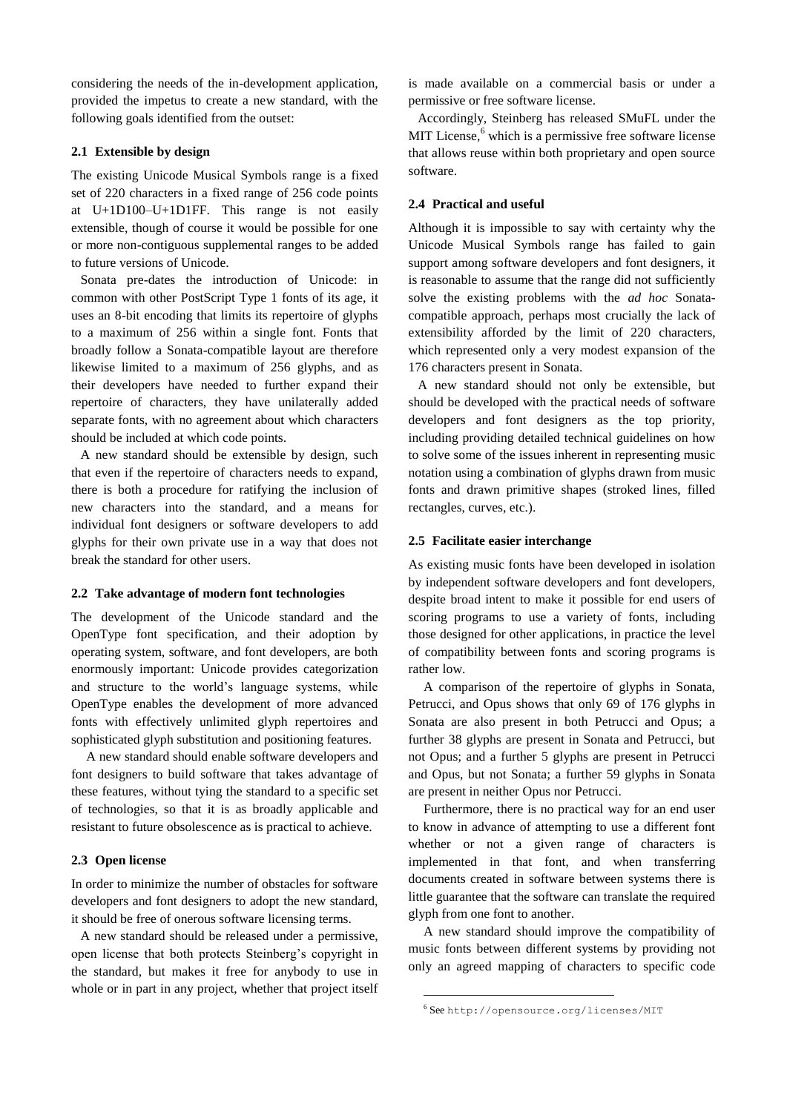considering the needs of the in-development application, provided the impetus to create a new standard, with the following goals identified from the outset:

# **2.1 Extensible by design**

The existing Unicode Musical Symbols range is a fixed set of 220 characters in a fixed range of 256 code points at U+1D100–U+1D1FF. This range is not easily extensible, though of course it would be possible for one or more non-contiguous supplemental ranges to be added to future versions of Unicode.

Sonata pre-dates the introduction of Unicode: in common with other PostScript Type 1 fonts of its age, it uses an 8-bit encoding that limits its repertoire of glyphs to a maximum of 256 within a single font. Fonts that broadly follow a Sonata-compatible layout are therefore likewise limited to a maximum of 256 glyphs, and as their developers have needed to further expand their repertoire of characters, they have unilaterally added separate fonts, with no agreement about which characters should be included at which code points.

A new standard should be extensible by design, such that even if the repertoire of characters needs to expand, there is both a procedure for ratifying the inclusion of new characters into the standard, and a means for individual font designers or software developers to add glyphs for their own private use in a way that does not break the standard for other users.

## **2.2 Take advantage of modern font technologies**

The development of the Unicode standard and the OpenType font specification, and their adoption by operating system, software, and font developers, are both enormously important: Unicode provides categorization and structure to the world's language systems, while OpenType enables the development of more advanced fonts with effectively unlimited glyph repertoires and sophisticated glyph substitution and positioning features.

A new standard should enable software developers and font designers to build software that takes advantage of these features, without tying the standard to a specific set of technologies, so that it is as broadly applicable and resistant to future obsolescence as is practical to achieve.

## **2.3 Open license**

In order to minimize the number of obstacles for software developers and font designers to adopt the new standard, it should be free of onerous software licensing terms.

A new standard should be released under a permissive, open license that both protects Steinberg's copyright in the standard, but makes it free for anybody to use in whole or in part in any project, whether that project itself is made available on a commercial basis or under a permissive or free software license.

Accordingly, Steinberg has released SMuFL under the MIT License,<sup>6</sup> which is a permissive free software license that allows reuse within both proprietary and open source software.

#### **2.4 Practical and useful**

Although it is impossible to say with certainty why the Unicode Musical Symbols range has failed to gain support among software developers and font designers, it is reasonable to assume that the range did not sufficiently solve the existing problems with the *ad hoc* Sonatacompatible approach, perhaps most crucially the lack of extensibility afforded by the limit of 220 characters, which represented only a very modest expansion of the 176 characters present in Sonata.

A new standard should not only be extensible, but should be developed with the practical needs of software developers and font designers as the top priority, including providing detailed technical guidelines on how to solve some of the issues inherent in representing music notation using a combination of glyphs drawn from music fonts and drawn primitive shapes (stroked lines, filled rectangles, curves, etc.).

#### **2.5 Facilitate easier interchange**

As existing music fonts have been developed in isolation by independent software developers and font developers, despite broad intent to make it possible for end users of scoring programs to use a variety of fonts, including those designed for other applications, in practice the level of compatibility between fonts and scoring programs is rather low.

A comparison of the repertoire of glyphs in Sonata, Petrucci, and Opus shows that only 69 of 176 glyphs in Sonata are also present in both Petrucci and Opus; a further 38 glyphs are present in Sonata and Petrucci, but not Opus; and a further 5 glyphs are present in Petrucci and Opus, but not Sonata; a further 59 glyphs in Sonata are present in neither Opus nor Petrucci.

Furthermore, there is no practical way for an end user to know in advance of attempting to use a different font whether or not a given range of characters is implemented in that font, and when transferring documents created in software between systems there is little guarantee that the software can translate the required glyph from one font to another.

A new standard should improve the compatibility of music fonts between different systems by providing not only an agreed mapping of characters to specific code

1

<sup>6</sup> See <http://opensource.org/licenses/MIT>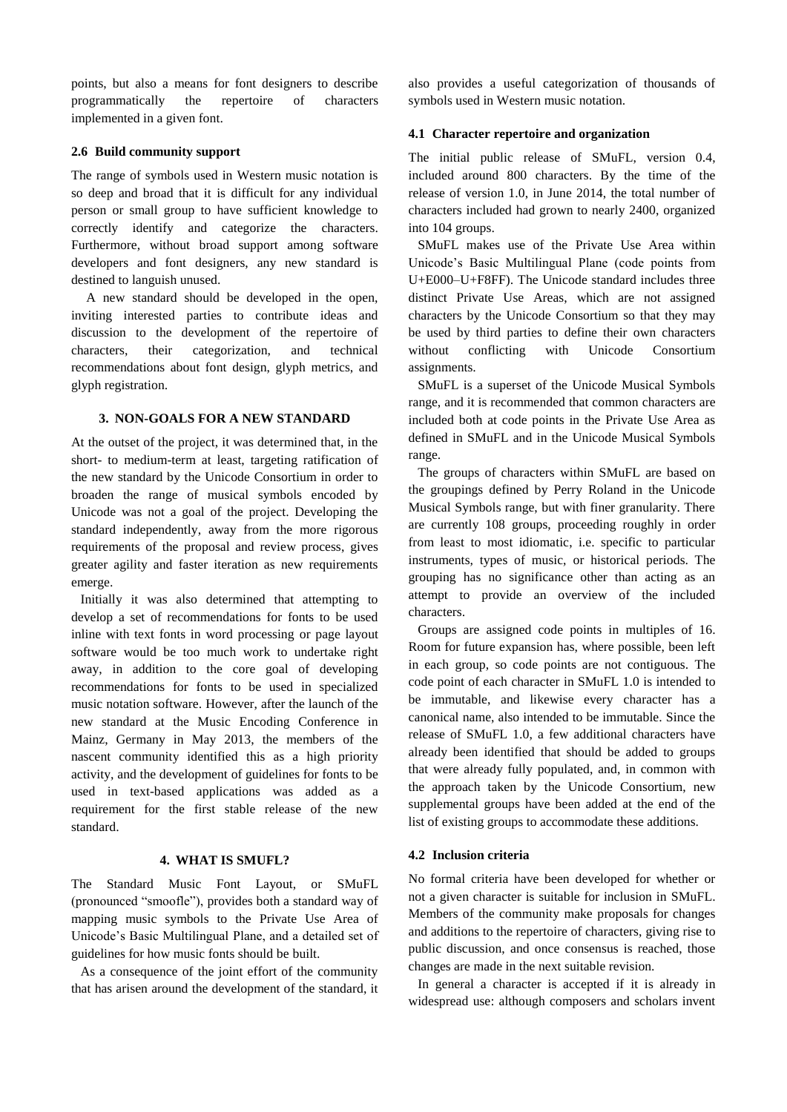points, but also a means for font designers to describe programmatically the repertoire of characters implemented in a given font.

## **2.6 Build community support**

The range of symbols used in Western music notation is so deep and broad that it is difficult for any individual person or small group to have sufficient knowledge to correctly identify and categorize the characters. Furthermore, without broad support among software developers and font designers, any new standard is destined to languish unused.

A new standard should be developed in the open, inviting interested parties to contribute ideas and discussion to the development of the repertoire of characters, their categorization, and technical recommendations about font design, glyph metrics, and glyph registration.

## **3. NON-GOALS FOR A NEW STANDARD**

At the outset of the project, it was determined that, in the short- to medium-term at least, targeting ratification of the new standard by the Unicode Consortium in order to broaden the range of musical symbols encoded by Unicode was not a goal of the project. Developing the standard independently, away from the more rigorous requirements of the proposal and review process, gives greater agility and faster iteration as new requirements emerge.

Initially it was also determined that attempting to develop a set of recommendations for fonts to be used inline with text fonts in word processing or page layout software would be too much work to undertake right away, in addition to the core goal of developing recommendations for fonts to be used in specialized music notation software. However, after the launch of the new standard at the Music Encoding Conference in Mainz, Germany in May 2013, the members of the nascent community identified this as a high priority activity, and the development of guidelines for fonts to be used in text-based applications was added as a requirement for the first stable release of the new standard.

## **4. WHAT IS SMUFL?**

The Standard Music Font Layout, or SMuFL (pronounced "smoofle"), provides both a standard way of mapping music symbols to the Private Use Area of Unicode's Basic Multilingual Plane, and a detailed set of guidelines for how music fonts should be built.

As a consequence of the joint effort of the community that has arisen around the development of the standard, it also provides a useful categorization of thousands of symbols used in Western music notation.

#### **4.1 Character repertoire and organization**

The initial public release of SMuFL, version 0.4, included around 800 characters. By the time of the release of version 1.0, in June 2014, the total number of characters included had grown to nearly 2400, organized into 104 groups.

SMuFL makes use of the Private Use Area within Unicode's Basic Multilingual Plane (code points from U+E000–U+F8FF). The Unicode standard includes three distinct Private Use Areas, which are not assigned characters by the Unicode Consortium so that they may be used by third parties to define their own characters without conflicting with Unicode Consortium assignments.

SMuFL is a superset of the Unicode Musical Symbols range, and it is recommended that common characters are included both at code points in the Private Use Area as defined in SMuFL and in the Unicode Musical Symbols range.

The groups of characters within SMuFL are based on the groupings defined by Perry Roland in the Unicode Musical Symbols range, but with finer granularity. There are currently 108 groups, proceeding roughly in order from least to most idiomatic, i.e. specific to particular instruments, types of music, or historical periods. The grouping has no significance other than acting as an attempt to provide an overview of the included characters.

Groups are assigned code points in multiples of 16. Room for future expansion has, where possible, been left in each group, so code points are not contiguous. The code point of each character in SMuFL 1.0 is intended to be immutable, and likewise every character has a canonical name, also intended to be immutable. Since the release of SMuFL 1.0, a few additional characters have already been identified that should be added to groups that were already fully populated, and, in common with the approach taken by the Unicode Consortium, new supplemental groups have been added at the end of the list of existing groups to accommodate these additions.

#### **4.2 Inclusion criteria**

No formal criteria have been developed for whether or not a given character is suitable for inclusion in SMuFL. Members of the community make proposals for changes and additions to the repertoire of characters, giving rise to public discussion, and once consensus is reached, those changes are made in the next suitable revision.

In general a character is accepted if it is already in widespread use: although composers and scholars invent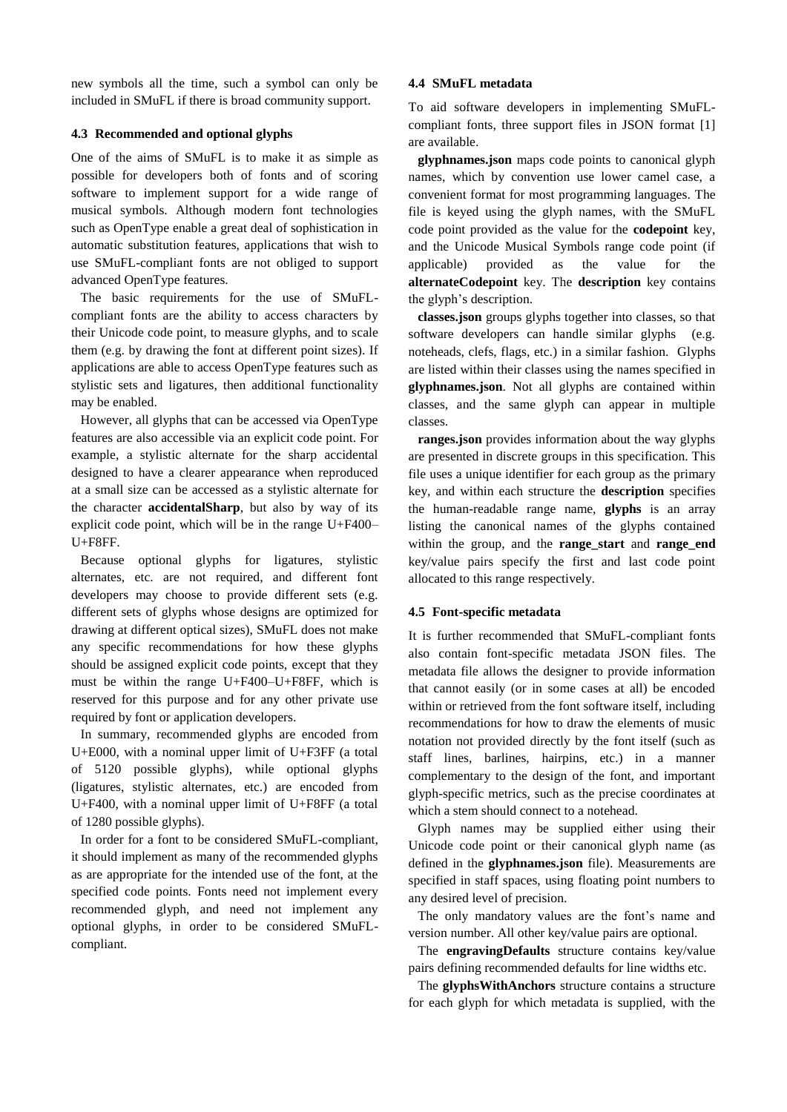new symbols all the time, such a symbol can only be included in SMuFL if there is broad community support.

## **4.3 Recommended and optional glyphs**

One of the aims of SMuFL is to make it as simple as possible for developers both of fonts and of scoring software to implement support for a wide range of musical symbols. Although modern font technologies such as OpenType enable a great deal of sophistication in automatic substitution features, applications that wish to use SMuFL-compliant fonts are not obliged to support advanced OpenType features.

The basic requirements for the use of SMuFLcompliant fonts are the ability to access characters by their Unicode code point, to measure glyphs, and to scale them (e.g. by drawing the font at different point sizes). If applications are able to access OpenType features such as stylistic sets and ligatures, then additional functionality may be enabled.

However, all glyphs that can be accessed via OpenType features are also accessible via an explicit code point. For example, a stylistic alternate for the sharp accidental designed to have a clearer appearance when reproduced at a small size can be accessed as a stylistic alternate for the character **accidentalSharp**, but also by way of its explicit code point, which will be in the range U+F400– U+F8FF.

Because optional glyphs for ligatures, stylistic alternates, etc. are not required, and different font developers may choose to provide different sets (e.g. different sets of glyphs whose designs are optimized for drawing at different optical sizes), SMuFL does not make any specific recommendations for how these glyphs should be assigned explicit code points, except that they must be within the range U+F400–U+F8FF, which is reserved for this purpose and for any other private use required by font or application developers.

In summary, recommended glyphs are encoded from U+E000, with a nominal upper limit of U+F3FF (a total of 5120 possible glyphs), while optional glyphs (ligatures, stylistic alternates, etc.) are encoded from U+F400, with a nominal upper limit of U+F8FF (a total of 1280 possible glyphs).

In order for a font to be considered SMuFL-compliant, it should implement as many of the recommended glyphs as are appropriate for the intended use of the font, at the specified code points. Fonts need not implement every recommended glyph, and need not implement any optional glyphs, in order to be considered SMuFLcompliant.

## **4.4 SMuFL metadata**

To aid software developers in implementing SMuFLcompliant fonts, three support files in JSON format [1] are available.

**glyphnames.json** maps code points to canonical glyph names, which by convention use lower camel case, a convenient format for most programming languages. The file is keyed using the glyph names, with the SMuFL code point provided as the value for the **codepoint** key, and the Unicode Musical Symbols range code point (if applicable) provided as the value for the **alternateCodepoint** key. The **description** key contains the glyph's description.

**classes.json** groups glyphs together into classes, so that software developers can handle similar glyphs (e.g. noteheads, clefs, flags, etc.) in a similar fashion. Glyphs are listed within their classes using the names specified in **glyphnames.json**. Not all glyphs are contained within classes, and the same glyph can appear in multiple classes.

**ranges.json** provides information about the way glyphs are presented in discrete groups in this specification. This file uses a unique identifier for each group as the primary key, and within each structure the **description** specifies the human-readable range name, **glyphs** is an array listing the canonical names of the glyphs contained within the group, and the **range** start and **range** end key/value pairs specify the first and last code point allocated to this range respectively.

## **4.5 Font-specific metadata**

It is further recommended that SMuFL-compliant fonts also contain font-specific metadata JSON files. The metadata file allows the designer to provide information that cannot easily (or in some cases at all) be encoded within or retrieved from the font software itself, including recommendations for how to draw the elements of music notation not provided directly by the font itself (such as staff lines, barlines, hairpins, etc.) in a manner complementary to the design of the font, and important glyph-specific metrics, such as the precise coordinates at which a stem should connect to a notehead.

Glyph names may be supplied either using their Unicode code point or their canonical glyph name (as defined in the **glyphnames.json** file). Measurements are specified in staff spaces, using floating point numbers to any desired level of precision.

The only mandatory values are the font's name and version number. All other key/value pairs are optional.

The **engravingDefaults** structure contains key/value pairs defining recommended defaults for line widths etc.

The **glyphsWithAnchors** structure contains a structure for each glyph for which metadata is supplied, with the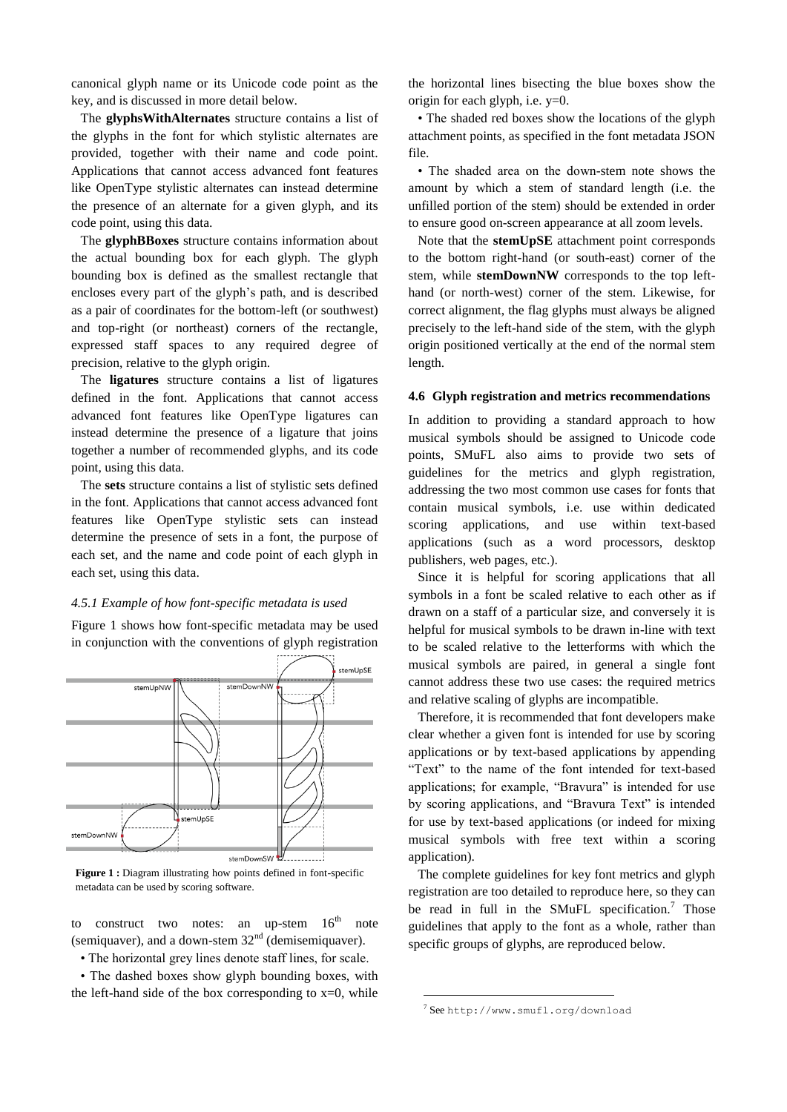canonical glyph name or its Unicode code point as the key, and is discussed in more detail below.

The **glyphsWithAlternates** structure contains a list of the glyphs in the font for which stylistic alternates are provided, together with their name and code point. Applications that cannot access advanced font features like OpenType stylistic alternates can instead determine the presence of an alternate for a given glyph, and its code point, using this data.

The **glyphBBoxes** structure contains information about the actual bounding box for each glyph. The glyph bounding box is defined as the smallest rectangle that encloses every part of the glyph's path, and is described as a pair of coordinates for the bottom-left (or southwest) and top-right (or northeast) corners of the rectangle, expressed staff spaces to any required degree of precision, relative to the glyph origin.

The **ligatures** structure contains a list of ligatures defined in the font. Applications that cannot access advanced font features like OpenType ligatures can instead determine the presence of a ligature that joins together a number of recommended glyphs, and its code point, using this data.

The **sets** structure contains a list of stylistic sets defined in the font. Applications that cannot access advanced font features like OpenType stylistic sets can instead determine the presence of sets in a font, the purpose of each set, and the name and code point of each glyph in each set, using this data.

#### *4.5.1 Example of how font-specific metadata is used*

Figure 1 shows how font-specific metadata may be used in conjunction with the conventions of glyph registration



**Figure 1 :** Diagram illustrating how points defined in font-specific metadata can be used by scoring software.

to construct two notes: an up-stem  $16<sup>th</sup>$  note (semiquaver), and a down-stem  $32<sup>nd</sup>$  (demisemiquaver).

• The horizontal grey lines denote staff lines, for scale.

• The dashed boxes show glyph bounding boxes, with the left-hand side of the box corresponding to  $x=0$ , while

the horizontal lines bisecting the blue boxes show the origin for each glyph, i.e. y=0.

• The shaded red boxes show the locations of the glyph attachment points, as specified in the font metadata JSON file.

• The shaded area on the down-stem note shows the amount by which a stem of standard length (i.e. the unfilled portion of the stem) should be extended in order to ensure good on-screen appearance at all zoom levels.

Note that the **stemUpSE** attachment point corresponds to the bottom right-hand (or south-east) corner of the stem, while **stemDownNW** corresponds to the top lefthand (or north-west) corner of the stem. Likewise, for correct alignment, the flag glyphs must always be aligned precisely to the left-hand side of the stem, with the glyph origin positioned vertically at the end of the normal stem length.

## **4.6 Glyph registration and metrics recommendations**

In addition to providing a standard approach to how musical symbols should be assigned to Unicode code points, SMuFL also aims to provide two sets of guidelines for the metrics and glyph registration, addressing the two most common use cases for fonts that contain musical symbols, i.e. use within dedicated scoring applications, and use within text-based applications (such as a word processors, desktop publishers, web pages, etc.).

Since it is helpful for scoring applications that all symbols in a font be scaled relative to each other as if drawn on a staff of a particular size, and conversely it is helpful for musical symbols to be drawn in-line with text to be scaled relative to the letterforms with which the musical symbols are paired, in general a single font cannot address these two use cases: the required metrics and relative scaling of glyphs are incompatible.

Therefore, it is recommended that font developers make clear whether a given font is intended for use by scoring applications or by text-based applications by appending "Text" to the name of the font intended for text-based applications; for example, "Bravura" is intended for use by scoring applications, and "Bravura Text" is intended for use by text-based applications (or indeed for mixing musical symbols with free text within a scoring application).

The complete guidelines for key font metrics and glyph registration are too detailed to reproduce here, so they can be read in full in the SMuFL specification.<sup>7</sup> Those guidelines that apply to the font as a whole, rather than specific groups of glyphs, are reproduced below.

1

<sup>7</sup> See <http://www.smufl.org/download>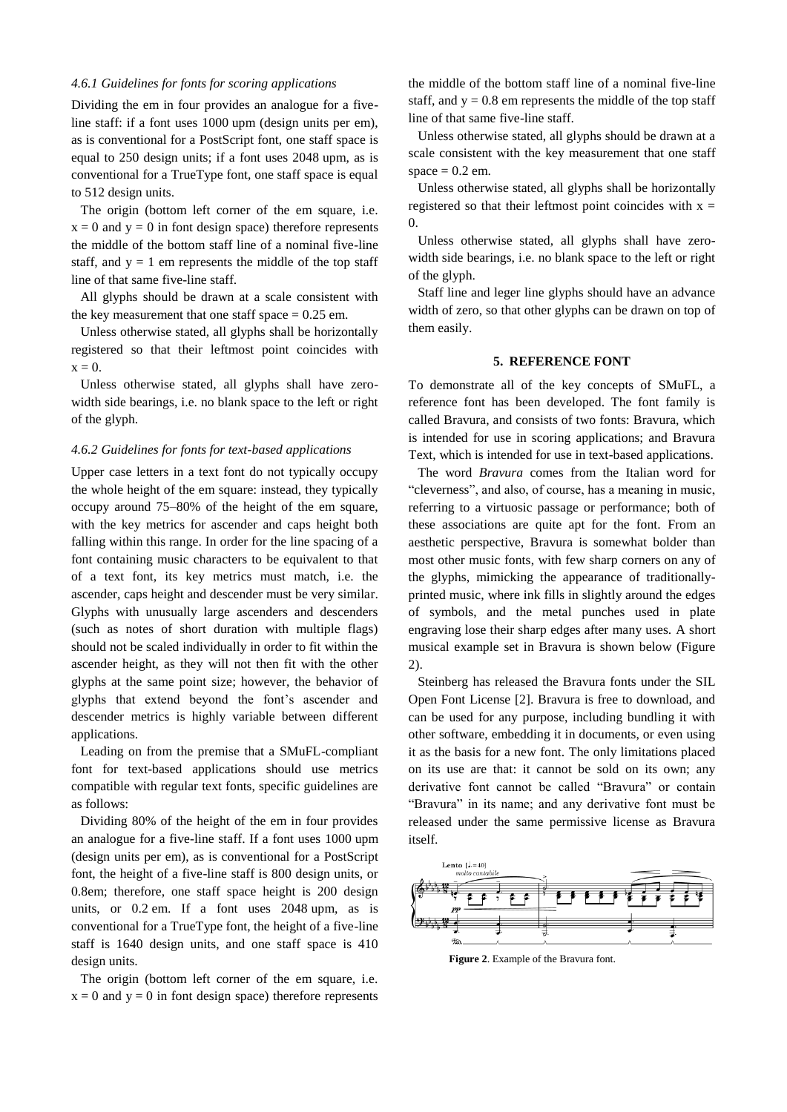## *4.6.1 Guidelines for fonts for scoring applications*

Dividing the em in four provides an analogue for a fiveline staff: if a font uses 1000 upm (design units per em), as is conventional for a PostScript font, one staff space is equal to 250 design units; if a font uses 2048 upm, as is conventional for a TrueType font, one staff space is equal to 512 design units.

The origin (bottom left corner of the em square, i.e.  $x = 0$  and  $y = 0$  in font design space) therefore represents the middle of the bottom staff line of a nominal five-line staff, and  $y = 1$  em represents the middle of the top staff line of that same five-line staff.

All glyphs should be drawn at a scale consistent with the key measurement that one staff space  $= 0.25$  em.

Unless otherwise stated, all glyphs shall be horizontally registered so that their leftmost point coincides with  $x = 0$ .

Unless otherwise stated, all glyphs shall have zerowidth side bearings, i.e. no blank space to the left or right of the glyph.

## *4.6.2 Guidelines for fonts for text-based applications*

Upper case letters in a text font do not typically occupy the whole height of the em square: instead, they typically occupy around 75–80% of the height of the em square, with the key metrics for ascender and caps height both falling within this range. In order for the line spacing of a font containing music characters to be equivalent to that of a text font, its key metrics must match, i.e. the ascender, caps height and descender must be very similar. Glyphs with unusually large ascenders and descenders (such as notes of short duration with multiple flags) should not be scaled individually in order to fit within the ascender height, as they will not then fit with the other glyphs at the same point size; however, the behavior of glyphs that extend beyond the font's ascender and descender metrics is highly variable between different applications.

Leading on from the premise that a SMuFL-compliant font for text-based applications should use metrics compatible with regular text fonts, specific guidelines are as follows:

Dividing 80% of the height of the em in four provides an analogue for a five-line staff. If a font uses 1000 upm (design units per em), as is conventional for a PostScript font, the height of a five-line staff is 800 design units, or 0.8em; therefore, one staff space height is 200 design units, or 0.2 em. If a font uses 2048 upm, as is conventional for a TrueType font, the height of a five-line staff is 1640 design units, and one staff space is 410 design units.

The origin (bottom left corner of the em square, i.e.  $x = 0$  and  $y = 0$  in font design space) therefore represents

the middle of the bottom staff line of a nominal five-line staff, and  $y = 0.8$  em represents the middle of the top staff line of that same five-line staff.

Unless otherwise stated, all glyphs should be drawn at a scale consistent with the key measurement that one staff space  $= 0.2$  em.

Unless otherwise stated, all glyphs shall be horizontally registered so that their leftmost point coincides with  $x =$  $\Omega$ .

Unless otherwise stated, all glyphs shall have zerowidth side bearings, i.e. no blank space to the left or right of the glyph.

Staff line and leger line glyphs should have an advance width of zero, so that other glyphs can be drawn on top of them easily.

## **5. REFERENCE FONT**

To demonstrate all of the key concepts of SMuFL, a reference font has been developed. The font family is called Bravura, and consists of two fonts: Bravura, which is intended for use in scoring applications; and Bravura Text, which is intended for use in text-based applications.

The word *Bravura* comes from the Italian word for "cleverness", and also, of course, has a meaning in music, referring to a virtuosic passage or performance; both of these associations are quite apt for the font. From an aesthetic perspective, Bravura is somewhat bolder than most other music fonts, with few sharp corners on any of the glyphs, mimicking the appearance of traditionallyprinted music, where ink fills in slightly around the edges of symbols, and the metal punches used in plate engraving lose their sharp edges after many uses. A short musical example set in Bravura is shown below (Figure 2).

Steinberg has released the Bravura fonts under the SIL Open Font License [2]. Bravura is free to download, and can be used for any purpose, including bundling it with other software, embedding it in documents, or even using it as the basis for a new font. The only limitations placed on its use are that: it cannot be sold on its own; any derivative font cannot be called "Bravura" or contain "Bravura" in its name; and any derivative font must be released under the same permissive license as Bravura itself.



**Figure 2**. Example of the Bravura font.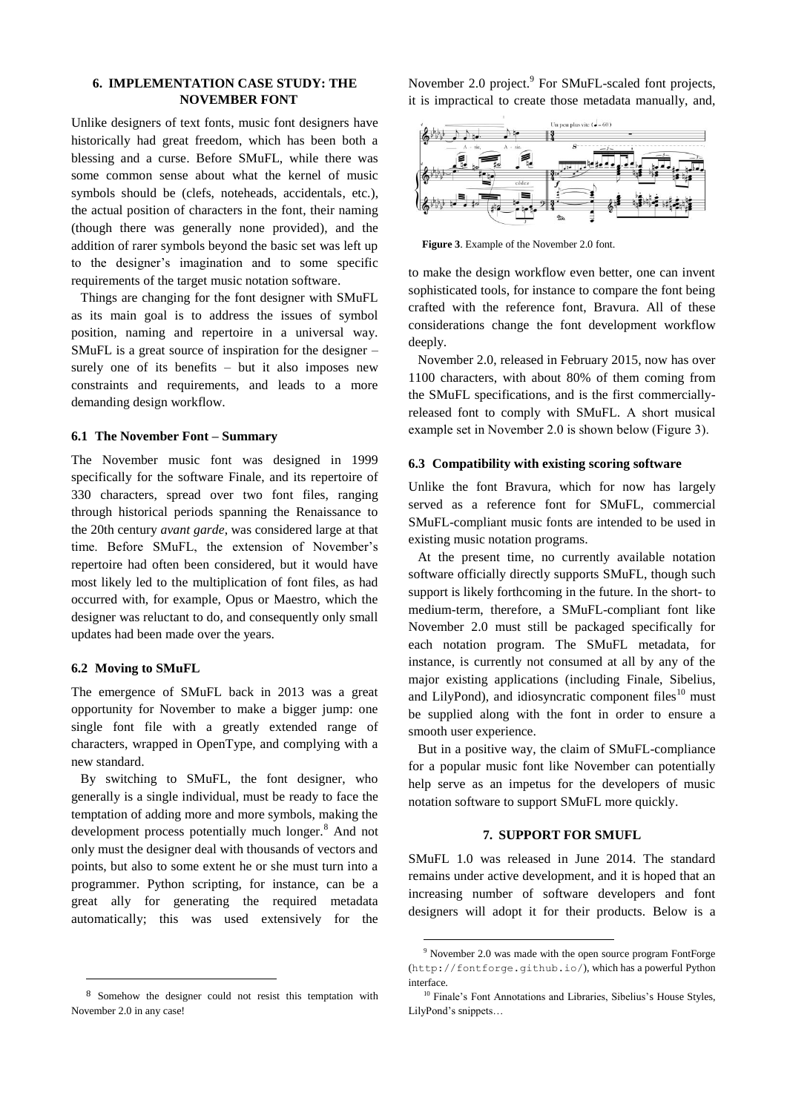## **6. IMPLEMENTATION CASE STUDY: THE NOVEMBER FONT**

Unlike designers of text fonts, music font designers have historically had great freedom, which has been both a blessing and a curse. Before SMuFL, while there was some common sense about what the kernel of music symbols should be (clefs, noteheads, accidentals, etc.), the actual position of characters in the font, their naming (though there was generally none provided), and the addition of rarer symbols beyond the basic set was left up to the designer's imagination and to some specific requirements of the target music notation software.

Things are changing for the font designer with SMuFL as its main goal is to address the issues of symbol position, naming and repertoire in a universal way. SMuFL is a great source of inspiration for the designer – surely one of its benefits – but it also imposes new constraints and requirements, and leads to a more demanding design workflow.

## **6.1 The November Font – Summary**

The November music font was designed in 1999 specifically for the software Finale, and its repertoire of 330 characters, spread over two font files, ranging through historical periods spanning the Renaissance to the 20th century *avant garde*, was considered large at that time. Before SMuFL, the extension of November's repertoire had often been considered, but it would have most likely led to the multiplication of font files, as had occurred with, for example, Opus or Maestro, which the designer was reluctant to do, and consequently only small updates had been made over the years.

#### **6.2 Moving to SMuFL**

-

The emergence of SMuFL back in 2013 was a great opportunity for November to make a bigger jump: one single font file with a greatly extended range of characters, wrapped in OpenType, and complying with a new standard.

By switching to SMuFL, the font designer, who generally is a single individual, must be ready to face the temptation of adding more and more symbols, making the development process potentially much longer.<sup>8</sup> And not only must the designer deal with thousands of vectors and points, but also to some extent he or she must turn into a programmer. Python scripting, for instance, can be a great ally for generating the required metadata automatically; this was used extensively for the

November 2.0 project.<sup>9</sup> For SMuFL-scaled font projects, it is impractical to create those metadata manually, and,



**Figure 3**. Example of the November 2.0 font.

to make the design workflow even better, one can invent sophisticated tools, for instance to compare the font being crafted with the reference font, Bravura. All of these considerations change the font development workflow deeply.

November 2.0, released in February 2015, now has over 1100 characters, with about 80% of them coming from the SMuFL specifications, and is the first commerciallyreleased font to comply with SMuFL. A short musical example set in November 2.0 is shown below (Figure 3).

## **6.3 Compatibility with existing scoring software**

Unlike the font Bravura, which for now has largely served as a reference font for SMuFL, commercial SMuFL-compliant music fonts are intended to be used in existing music notation programs.

At the present time, no currently available notation software officially directly supports SMuFL, though such support is likely forthcoming in the future. In the short- to medium-term, therefore, a SMuFL-compliant font like November 2.0 must still be packaged specifically for each notation program. The SMuFL metadata, for instance, is currently not consumed at all by any of the major existing applications (including Finale, Sibelius, and LilyPond), and idiosyncratic component files $10$  must be supplied along with the font in order to ensure a smooth user experience.

But in a positive way, the claim of SMuFL-compliance for a popular music font like November can potentially help serve as an impetus for the developers of music notation software to support SMuFL more quickly.

## **7. SUPPORT FOR SMUFL**

SMuFL 1.0 was released in June 2014. The standard remains under active development, and it is hoped that an increasing number of software developers and font designers will adopt it for their products. Below is a

1

<sup>8</sup> Somehow the designer could not resist this temptation with November 2.0 in any case!

<sup>&</sup>lt;sup>9</sup> November 2.0 was made with the open source program FontForge (<http://fontforge.github.io/>), which has a powerful Python interface.

<sup>&</sup>lt;sup>10</sup> Finale's Font Annotations and Libraries, Sibelius's House Styles, LilyPond's snippets…